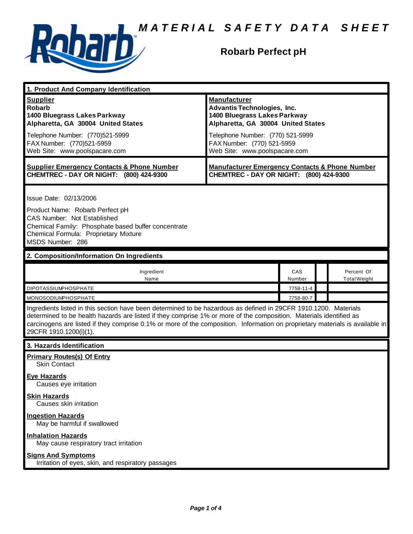

### **Robarb Perfect pH**

| 1. Product And Company Identification                                                                                                                                                                                                                                                                                                                                                             |                                                                                                                                                                                                   |               |  |                                   |
|---------------------------------------------------------------------------------------------------------------------------------------------------------------------------------------------------------------------------------------------------------------------------------------------------------------------------------------------------------------------------------------------------|---------------------------------------------------------------------------------------------------------------------------------------------------------------------------------------------------|---------------|--|-----------------------------------|
| <b>Supplier</b><br><b>Robarb</b><br>1400 Bluegrass Lakes Parkway<br>Alpharetta, GA 30004 United States<br>Telephone Number: (770)521-5999<br>FAX Number: (770)521-5959                                                                                                                                                                                                                            | <b>Manufacturer</b><br><b>Advantis Technologies, Inc.</b><br>1400 Bluegrass Lakes Parkway<br>Alpharetta, GA 30004 United States<br>Telephone Number: (770) 521-5999<br>FAX Number: (770) 521-5959 |               |  |                                   |
| Web Site: www.poolspacare.com                                                                                                                                                                                                                                                                                                                                                                     | Web Site: www.poolspacare.com                                                                                                                                                                     |               |  |                                   |
| <b>Supplier Emergency Contacts &amp; Phone Number</b><br>CHEMTREC - DAY OR NIGHT: (800) 424-9300                                                                                                                                                                                                                                                                                                  | <b>Manufacturer Emergency Contacts &amp; Phone Number</b><br>CHEMTREC - DAY OR NIGHT: (800) 424-9300                                                                                              |               |  |                                   |
| Issue Date: 02/13/2006<br>Product Name: Robarb Perfect pH<br>CAS Number: Not Established<br>Chemical Family: Phosphate based buffer concentrate<br>Chemical Formula: Proprietary Mixture<br>MSDS Number: 286                                                                                                                                                                                      |                                                                                                                                                                                                   |               |  |                                   |
| 2. Composition/Information On Ingredients                                                                                                                                                                                                                                                                                                                                                         |                                                                                                                                                                                                   |               |  |                                   |
| Ingredient<br>Name                                                                                                                                                                                                                                                                                                                                                                                |                                                                                                                                                                                                   | CAS<br>Number |  | Percent Of<br><b>Total Weight</b> |
| <b>DIPOTASSIUMPHOSPHATE</b>                                                                                                                                                                                                                                                                                                                                                                       |                                                                                                                                                                                                   | 7758-11-4     |  |                                   |
| <b>MONOSODIUMPHOSPHATE</b>                                                                                                                                                                                                                                                                                                                                                                        |                                                                                                                                                                                                   | 7758-80-7     |  |                                   |
| Ingredients listed in this section have been determined to be hazardous as defined in 29CFR 1910.1200. Materials<br>determined to be health hazards are listed if they comprise 1% or more of the composition. Materials identified as<br>carcinogens are listed if they comprise 0.1% or more of the composition. Information on proprietary materials is available in<br>29CFR 1910.1200(i)(1). |                                                                                                                                                                                                   |               |  |                                   |
| 3. Hazards Identification                                                                                                                                                                                                                                                                                                                                                                         |                                                                                                                                                                                                   |               |  |                                   |
| <b>Primary Routes(s) Of Entry</b><br><b>Skin Contact</b>                                                                                                                                                                                                                                                                                                                                          |                                                                                                                                                                                                   |               |  |                                   |
| <u>Eye Hazards</u><br>Causes eye irritation                                                                                                                                                                                                                                                                                                                                                       |                                                                                                                                                                                                   |               |  |                                   |
| <b>Skin Hazards</b><br>Causes skin irritation                                                                                                                                                                                                                                                                                                                                                     |                                                                                                                                                                                                   |               |  |                                   |
| <b>Ingestion Hazards</b><br>May be harmful if swallowed                                                                                                                                                                                                                                                                                                                                           |                                                                                                                                                                                                   |               |  |                                   |
| <b>Inhalation Hazards</b><br>May cause respiratory tract irritation                                                                                                                                                                                                                                                                                                                               |                                                                                                                                                                                                   |               |  |                                   |
| <b>Signs And Symptoms</b><br>Irritation of eyes, skin, and respiratory passages                                                                                                                                                                                                                                                                                                                   |                                                                                                                                                                                                   |               |  |                                   |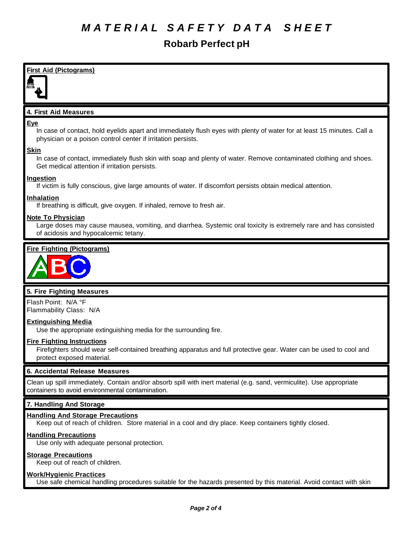# *M A T E R I A L S A F E T Y D A T A S H E E T*

## **Robarb Perfect pH**

### **First Aid (Pictograms)**

#### **4. First Aid Measures**

#### **Eye**

In case of contact, hold eyelids apart and immediately flush eyes with plenty of water for at least 15 minutes. Call a physician or a poison control center if irritation persists.

#### **Skin**

In case of contact, immediately flush skin with soap and plenty of water. Remove contaminated clothing and shoes. Get medical attention if irritation persists.

#### **Ingestion**

If victim is fully conscious, give large amounts of water. If discomfort persists obtain medical attention.

### **Inhalation**

If breathing is difficult, give oxygen. If inhaled, remove to fresh air.

#### **Note To Physician**

Large doses may cause mausea, vomiting, and diarrhea. Systemic oral toxicity is extremely rare and has consisted of acidosis and hypocalcemic tetany.

#### **Fire Fighting (Pictograms)**



#### **5. Fire Fighting Measures**

Flash Point: N/A °F Flammability Class: N/A

#### **Extinguishing Media**

Use the appropriate extinguishing media for the surrounding fire.

#### **Fire Fighting Instructions**

Firefighters should wear self-contained breathing apparatus and full protective gear. Water can be used to cool and protect exposed material.

#### **6. Accidental Release Measures**

Clean up spill immediately. Contain and/or absorb spill with inert material (e.g. sand, vermiculite). Use appropriate containers to avoid environmental contamination.

#### **7. Handling And Storage**

#### **Handling And Storage Precautions**

Keep out of reach of children. Store material in a cool and dry place. Keep containers tightly closed.

#### **Handling Precautions**

Use only with adequate personal protection.

#### **Storage Precautions**

Keep out of reach of children.

#### **Work/Hygienic Practices**

Use safe chemical handling procedures suitable for the hazards presented by this material. Avoid contact with skin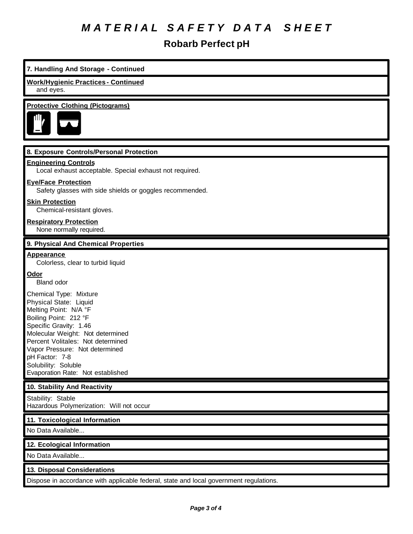# *M A T E R I A L S A F E T Y D A T A S H E E T*

### **Robarb Perfect pH**

### **7. Handling And Storage - Continued Work/Hygienic Practices - Continued** and eyes. **Protective Clothing (Pictograms) 8. Exposure Controls/Personal Protection Engineering Controls** Local exhaust acceptable. Special exhaust not required. **Eye/Face Protection** Safety glasses with side shields or goggles recommended. **Skin Protection** Chemical-resistant gloves. **Respiratory Protection** None normally required. **9. Physical And Chemical Properties Appearance** Colorless, clear to turbid liquid **Odor** Bland odor Chemical Type: Mixture Physical State: Liquid Melting Point: N/A °F Boiling Point: 212 °F Specific Gravity: 1.46 Molecular Weight: Not determined Percent Volitales: Not determined Vapor Pressure: Not determined pH Factor: 7-8 Solubility: Soluble Evaporation Rate: Not established **10. Stability And Reactivity** Stability: Stable Hazardous Polymerization: Will not occur **11. Toxicological Information** No Data Available... **12. Ecological Information** No Data Available... **13. Disposal Considerations** Dispose in accordance with applicable federal, state and local government regulations.